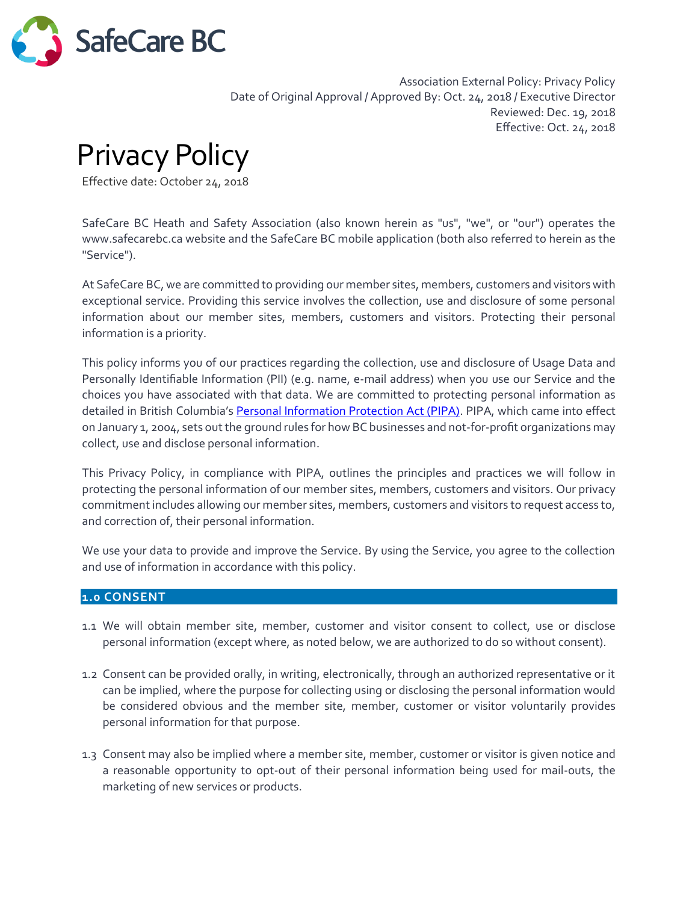

Association External Policy: Privacy Policy Date of Original Approval / Approved By: Oct. 24, 2018 / Executive Director Reviewed: Dec. 19, 2018 Effective: Oct. 24, 2018

Privacy Policy

Effective date: October 24, 2018

SafeCare BC Heath and Safety Association (also known herein as "us", "we", or "our") operates the www.safecarebc.ca website and the SafeCare BC mobile application (both also referred to herein as the "Service").

At SafeCare BC, we are committed to providing our member sites, members, customers and visitors with exceptional service. Providing this service involves the collection, use and disclosure of some personal information about our member sites, members, customers and visitors. Protecting their personal information is a priority.

This policy informs you of our practices regarding the collection, use and disclosure of Usage Data and Personally Identifiable Information (PII) (e.g. name, e-mail address) when you use our Service and the choices you have associated with that data. We are committed to protecting personal information as detailed in British Columbia's [Personal Information Protection Act \(PIPA\).](http://www.bclaws.ca/Recon/document/ID/freeside/00_03063_01) PIPA, which came into effect on January 1, 2004, sets out the ground rules for how BC businesses and not-for-profit organizations may collect, use and disclose personal information.

This Privacy Policy, in compliance with PIPA, outlines the principles and practices we will follow in protecting the personal information of our member sites, members, customers and visitors. Our privacy commitment includes allowing our member sites, members, customers and visitors to request access to, and correction of, their personal information.

We use your data to provide and improve the Service. By using the Service, you agree to the collection and use of information in accordance with this policy.

#### **1.0 CONSENT**

- 1.1 We will obtain member site, member, customer and visitor consent to collect, use or disclose personal information (except where, as noted below, we are authorized to do so without consent).
- 1.2 Consent can be provided orally, in writing, electronically, through an authorized representative or it can be implied, where the purpose for collecting using or disclosing the personal information would be considered obvious and the member site, member, customer or visitor voluntarily provides personal information for that purpose.
- 1.3 Consent may also be implied where a member site, member, customer or visitor is given notice and a reasonable opportunity to opt-out of their personal information being used for mail-outs, the marketing of new services or products.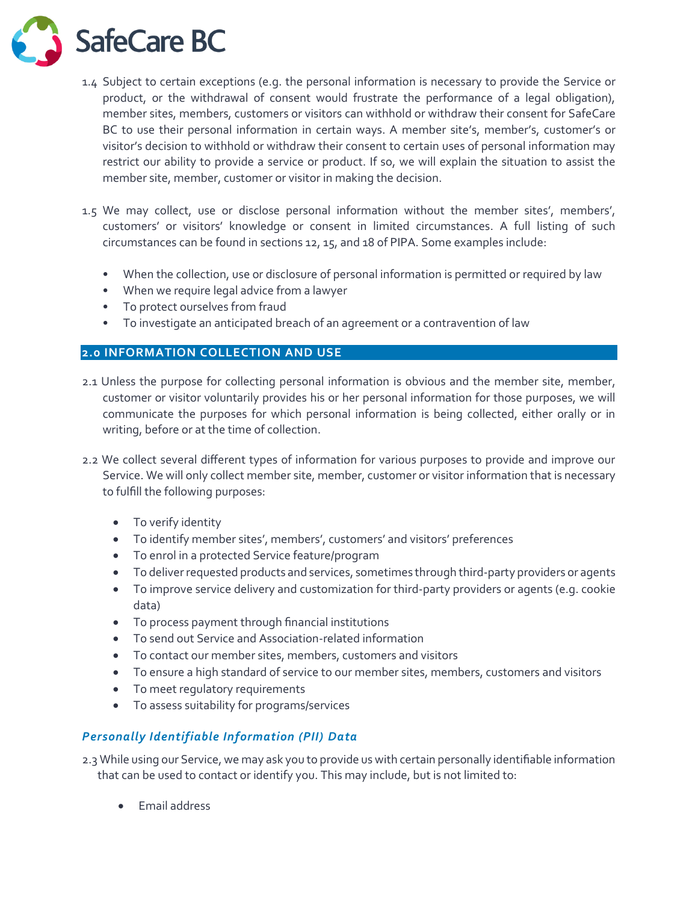**SafeCare BC** 

- 1.4 Subject to certain exceptions (e.g. the personal information is necessary to provide the Service or product, or the withdrawal of consent would frustrate the performance of a legal obligation), member sites, members, customers or visitors can withhold or withdraw their consent for SafeCare BC to use their personal information in certain ways. A member site's, member's, customer's or visitor's decision to withhold or withdraw their consent to certain uses of personal information may restrict our ability to provide a service or product. If so, we will explain the situation to assist the member site, member, customer or visitor in making the decision.
- 1.5 We may collect, use or disclose personal information without the member sites', members', customers' or visitors' knowledge or consent in limited circumstances. A full listing of such circumstances can be found in sections 12, 15, and 18 of PIPA. Some examples include:
	- When the collection, use or disclosure of personal information is permitted or required by law
	- When we require legal advice from a lawyer
	- To protect ourselves from fraud
	- To investigate an anticipated breach of an agreement or a contravention of law

# **2.0 INFORMATION COLLECTION AND USE**

- 2.1 Unless the purpose for collecting personal information is obvious and the member site, member, customer or visitor voluntarily provides his or her personal information for those purposes, we will communicate the purposes for which personal information is being collected, either orally or in writing, before or at the time of collection.
- 2.2 We collect several different types of information for various purposes to provide and improve our Service. We will only collect member site, member, customer or visitor information that is necessary to fulfill the following purposes:
	- To verify identity
	- To identify member sites', members', customers' and visitors' preferences
	- To enrol in a protected Service feature/program
	- To deliver requested products and services, sometimes through third-party providers or agents
	- To improve service delivery and customization for third-party providers or agents (e.g. cookie data)
	- To process payment through financial institutions
	- To send out Service and Association-related information
	- To contact our member sites, members, customers and visitors
	- To ensure a high standard of service to our member sites, members, customers and visitors
	- To meet regulatory requirements
	- To assess suitability for programs/services

# *Personally Identifiable Information (PII) Data*

2.3 While using our Service, we may ask you to provide us with certain personally identifiable information that can be used to contact or identify you. This may include, but is not limited to:

• Email address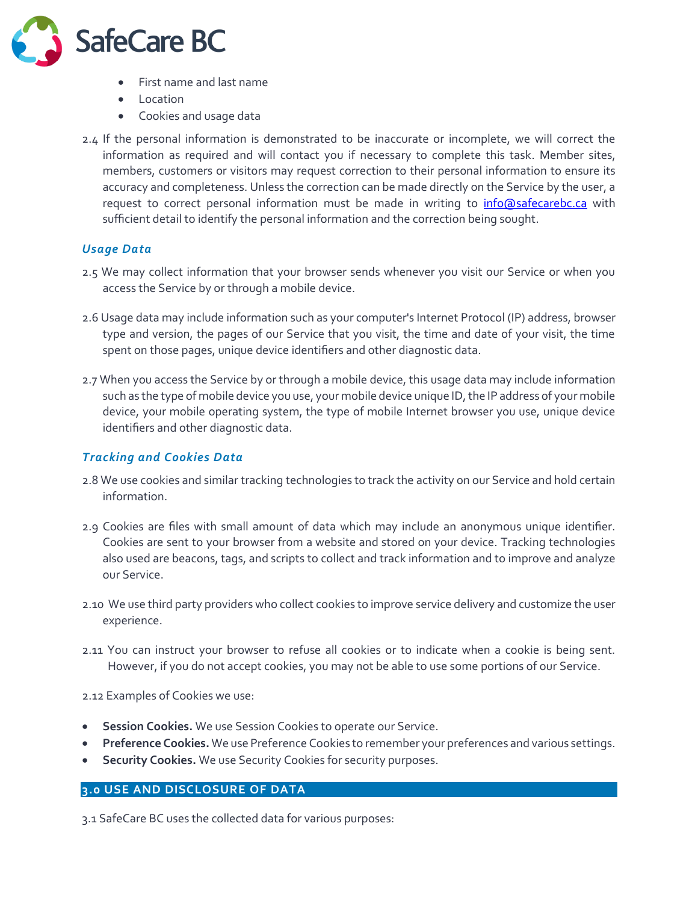

- First name and last name
- **Location**
- Cookies and usage data
- 2.4 If the personal information is demonstrated to be inaccurate or incomplete, we will correct the information as required and will contact you if necessary to complete this task. Member sites, members, customers or visitors may request correction to their personal information to ensure its accuracy and completeness. Unless the correction can be made directly on the Service by the user, a request to correct personal information must be made in writing to *[info@safecarebc.ca](mailto:info@safecarebc.ca)* with sufficient detail to identify the personal information and the correction being sought.

# *Usage Data*

- 2.5 We may collect information that your browser sends whenever you visit our Service or when you access the Service by or through a mobile device.
- 2.6 Usage data may include information such as your computer's Internet Protocol (IP) address, browser type and version, the pages of our Service that you visit, the time and date of your visit, the time spent on those pages, unique device identifiers and other diagnostic data.
- 2.7 When you access the Service by or through a mobile device, this usage data may include information such as the type of mobile device you use, your mobile device unique ID, the IP address of your mobile device, your mobile operating system, the type of mobile Internet browser you use, unique device identifiers and other diagnostic data.

# *Tracking and Cookies Data*

- 2.8 We use cookies and similar tracking technologies to track the activity on our Service and hold certain information.
- 2.9 Cookies are files with small amount of data which may include an anonymous unique identifier. Cookies are sent to your browser from a website and stored on your device. Tracking technologies also used are beacons, tags, and scripts to collect and track information and to improve and analyze our Service.
- 2.10 We use third party providers who collect cookies to improve service delivery and customize the user experience.
- 2.11 You can instruct your browser to refuse all cookies or to indicate when a cookie is being sent. However, if you do not accept cookies, you may not be able to use some portions of our Service.

2.12 Examples of Cookies we use:

- **Session Cookies.** We use Session Cookies to operate our Service.
- **Preference Cookies.** We use Preference Cookies to remember your preferences and various settings.
- **Security Cookies.** We use Security Cookies for security purposes.

#### **3.0 USE AND DISCLOSURE OF DATA**

3.1 SafeCare BC uses the collected data for various purposes: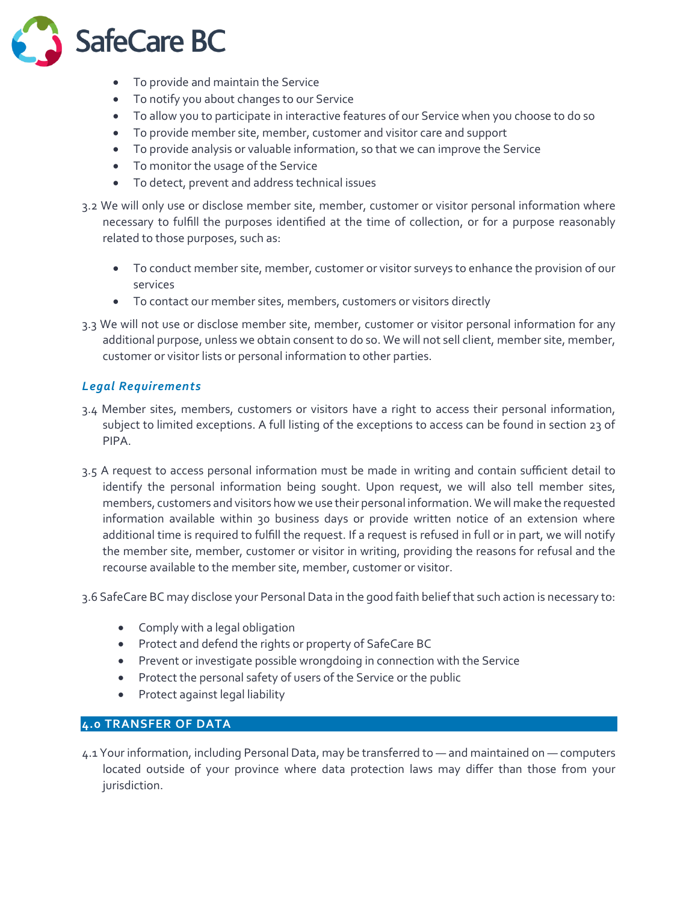

- To provide and maintain the Service
- To notify you about changes to our Service
- To allow you to participate in interactive features of our Service when you choose to do so
- To provide member site, member, customer and visitor care and support
- To provide analysis or valuable information, so that we can improve the Service
- To monitor the usage of the Service
- To detect, prevent and address technical issues
- 3.2 We will only use or disclose member site, member, customer or visitor personal information where necessary to fulfill the purposes identified at the time of collection, or for a purpose reasonably related to those purposes, such as:
	- To conduct member site, member, customer or visitor surveys to enhance the provision of our services
	- To contact our member sites, members, customers or visitors directly
- 3.3 We will not use or disclose member site, member, customer or visitor personal information for any additional purpose, unless we obtain consent to do so. We will not sell client, member site, member, customer or visitor lists or personal information to other parties.

## *Legal Requirements*

- 3.4 Member sites, members, customers or visitors have a right to access their personal information, subject to limited exceptions. A full listing of the exceptions to access can be found in section 23 of PIPA.
- 3.5 A request to access personal information must be made in writing and contain sufficient detail to identify the personal information being sought. Upon request, we will also tell member sites, members, customers and visitors how we use their personal information. We will make the requested information available within 30 business days or provide written notice of an extension where additional time is required to fulfill the request. If a request is refused in full or in part, we will notify the member site, member, customer or visitor in writing, providing the reasons for refusal and the recourse available to the member site, member, customer or visitor.
- 3.6 SafeCare BC may disclose your Personal Data in the good faith belief that such action is necessary to:
	- Comply with a legal obligation
	- Protect and defend the rights or property of SafeCare BC
	- Prevent or investigate possible wrongdoing in connection with the Service
	- Protect the personal safety of users of the Service or the public
	- Protect against legal liability

## **4.0 TRANSFER OF DATA**

4.1 Your information, including Personal Data, may be transferred to — and maintained on — computers located outside of your province where data protection laws may differ than those from your jurisdiction.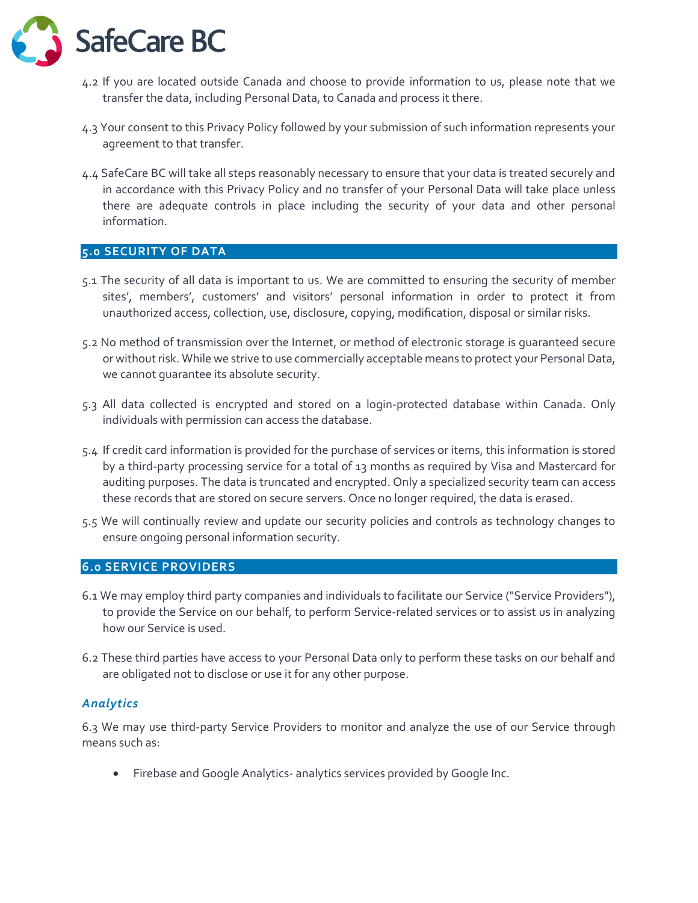

- 4.2 If you are located outside Canada and choose to provide information to us, please note that we transfer the data, including Personal Data, to Canada and process it there.
- 4.3 Your consent to this Privacy Policy followed by your submission of such information represents your agreement to that transfer.
- 4.4 SafeCare BC will take all steps reasonably necessary to ensure that your data is treated securely and in accordance with this Privacy Policy and no transfer of your Personal Data will take place unless there are adequate controls in place including the security of your data and other personal information.

## **5.0 SECURITY OF DATA**

- 5.1 The security of all data is important to us. We are committed to ensuring the security of member sites', members', customers' and visitors' personal information in order to protect it from unauthorized access, collection, use, disclosure, copying, modification, disposal or similar risks.
- 5.2 No method of transmission over the Internet, or method of electronic storage is guaranteed secure or without risk. While we strive to use commercially acceptable means to protect your Personal Data, we cannot guarantee its absolute security.
- 5.3 All data collected is encrypted and stored on a login-protected database within Canada. Only individuals with permission can access the database.
- 5.4 If credit card information is provided for the purchase of services or items, this information is stored by a third-party processing service for a total of 13 months as required by Visa and Mastercard for auditing purposes. The data is truncated and encrypted. Only a specialized security team can access these records that are stored on secure servers. Once no longer required, the data is erased.
- 5.5 We will continually review and update our security policies and controls as technology changes to ensure ongoing personal information security.

#### **6.0 SERVICE PROVIDERS**

- 6.1 We may employ third party companies and individuals to facilitate our Service ("Service Providers"), to provide the Service on our behalf, to perform Service-related services or to assist us in analyzing how our Service is used.
- 6.2 These third parties have access to your Personal Data only to perform these tasks on our behalf and are obligated not to disclose or use it for any other purpose.

#### *Analytics*

6.3 We may use third-party Service Providers to monitor and analyze the use of our Service through means such as:

• Firebase and Google Analytics- analytics services provided by Google Inc.